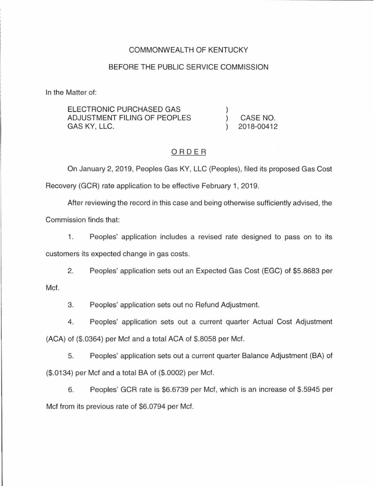### COMMONWEALTH OF KENTUCKY

#### BEFORE THE PUBLIC SERVICE COMMISSION

In the Matter of:

| ELECTRONIC PURCHASED GAS     |            |
|------------------------------|------------|
| ADJUSTMENT FILING OF PEOPLES | CASE NO.   |
| GAS KY, LLC.                 | 2018-00412 |

#### ORDER

On January 2, 2019, Peoples Gas KY, LLC (Peoples), filed its proposed Gas Cost

Recovery (GCR) rate application to be effective February 1, 2019.

After reviewing the record in this case and being otherwise sufficiently advised, the

Commission finds that:

1. Peoples' application includes a revised rate designed to pass on to its customers its expected change in gas costs.

2. Peoples' application sets out an Expected Gas Cost (EGG) of \$5.8683 per Met.

3. Peoples' application sets out no Refund Adjustment.

4. Peoples' application sets out a current quarter Actual Cost Adjustment (ACA) of (\$.0364) per Mcf and a total ACA of \$.8058 per Mcf.

5. Peoples' application sets out a current quarter Balance Adjustment (BA) of (\$.0134) per Mcf and a total BA of (\$.0002) per Mcf.

6. Peoples' GCR rate is \$6.6739 per Mcf, which is an increase of \$.5945 per Mcf from its previous rate of \$6.0794 per Mcf.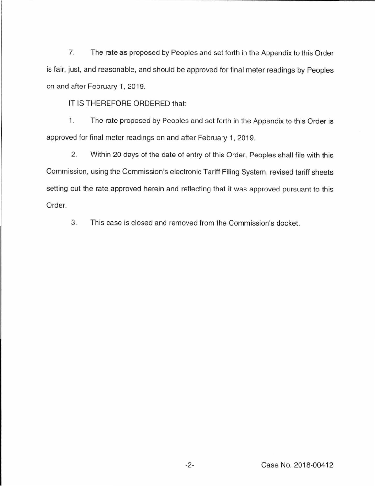7. The rate as proposed by Peoples and set forth in the Appendix to this Order is fair, just, and reasonable, and should be approved for final meter readings by Peoples on and after February 1, 2019.

IT IS THEREFORE ORDERED that:

1. The rate proposed by Peoples and set forth in the Appendix to this Order is approved for final meter readings on and after February 1, 2019.

2. Within 20 days of the date of entry of this Order, Peoples shall file with this Commission, using the Commission's electronic Tariff Filing System, revised tariff sheets setting out the rate approved herein and reflecting that it was approved pursuant to this Order.

3. This case is closed and removed from the Commission's docket.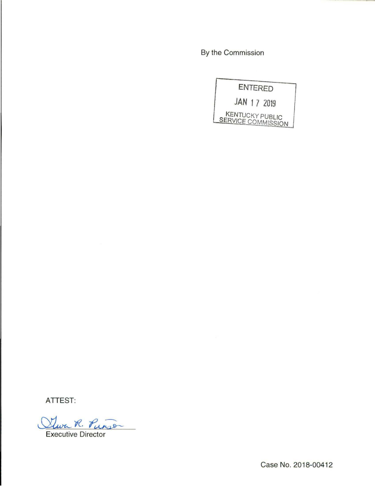By the Commission

|             | <b>ENTERED</b>                                      |
|-------------|-----------------------------------------------------|
| JAN 17 2019 |                                                     |
|             | <b>KENTUCKY PUBLIC</b><br><b>SERVICE COMMISSION</b> |

ATTEST:

Stwa R. Punso

Executive Director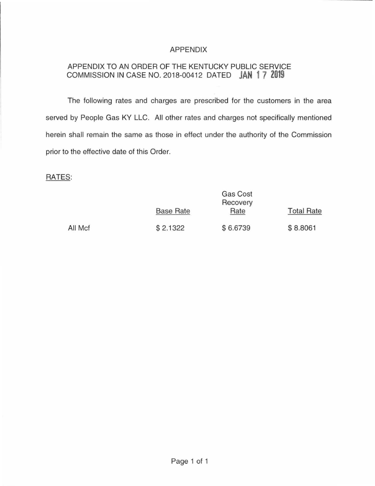# APPENDIX

# APPENDIX TO AN ORDER OF THE KENTUCKY PUBLIC SERVICE COMMISSION IN CASE NO. 2018-00412 DATED **JAN 1 7 2019**

The following rates and charges are prescribed for the customers in the area served by People Gas KY LLC. All other rates and charges not specifically mentioned herein shall remain the same as those in effect under the authority of the Commission prior to the effective date of this Order.

### RATES:

|         | Gas Cost<br>Recovery |          |                   |  |
|---------|----------------------|----------|-------------------|--|
|         | <b>Base Rate</b>     | Rate     | <b>Total Rate</b> |  |
| All Mcf | \$2.1322             | \$6.6739 | \$8.8061          |  |